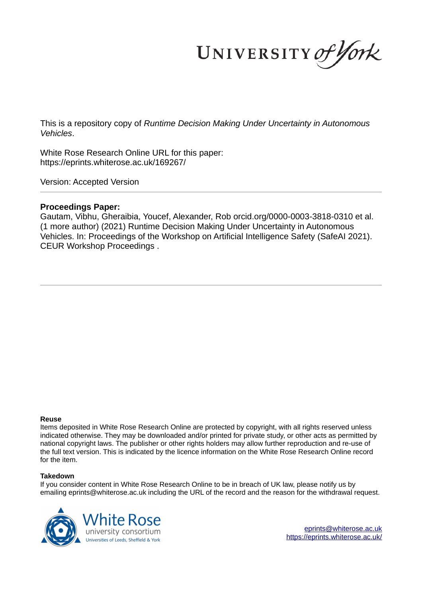UNIVERSITY of York

This is a repository copy of *Runtime Decision Making Under Uncertainty in Autonomous Vehicles*.

White Rose Research Online URL for this paper: https://eprints.whiterose.ac.uk/169267/

Version: Accepted Version

# **Proceedings Paper:**

Gautam, Vibhu, Gheraibia, Youcef, Alexander, Rob orcid.org/0000-0003-3818-0310 et al. (1 more author) (2021) Runtime Decision Making Under Uncertainty in Autonomous Vehicles. In: Proceedings of the Workshop on Artificial Intelligence Safety (SafeAI 2021). CEUR Workshop Proceedings .

### **Reuse**

Items deposited in White Rose Research Online are protected by copyright, with all rights reserved unless indicated otherwise. They may be downloaded and/or printed for private study, or other acts as permitted by national copyright laws. The publisher or other rights holders may allow further reproduction and re-use of the full text version. This is indicated by the licence information on the White Rose Research Online record for the item.

## **Takedown**

If you consider content in White Rose Research Online to be in breach of UK law, please notify us by emailing eprints@whiterose.ac.uk including the URL of the record and the reason for the withdrawal request.



eprints@whiterose.ac.uk https://eprints.whiterose.ac.uk/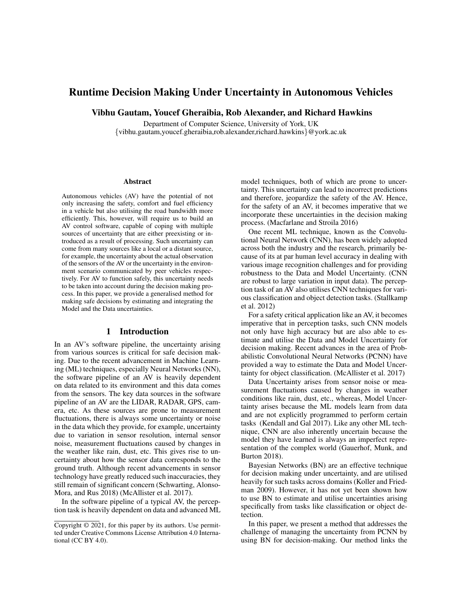# Runtime Decision Making Under Uncertainty in Autonomous Vehicles

Vibhu Gautam, Youcef Gheraibia, Rob Alexander, and Richard Hawkins

Department of Computer Science, University of York, UK {vibhu.gautam,youcef.gheraibia,rob.alexander,richard.hawkins}@york.ac.uk

#### Abstract

Autonomous vehicles (AV) have the potential of not only increasing the safety, comfort and fuel efficiency in a vehicle but also utilising the road bandwidth more efficiently. This, however, will require us to build an AV control software, capable of coping with multiple sources of uncertainty that are either preexisting or introduced as a result of processing. Such uncertainty can come from many sources like a local or a distant source, for example, the uncertainty about the actual observation of the sensors of the AV or the uncertainty in the environment scenario communicated by peer vehicles respectively. For AV to function safely, this uncertainty needs to be taken into account during the decision making process. In this paper, we provide a generalised method for making safe decisions by estimating and integrating the Model and the Data uncertainties.

### 1 Introduction

In an AV's software pipeline, the uncertainty arising from various sources is critical for safe decision making. Due to the recent advancement in Machine Learning (ML) techniques, especially Neural Networks (NN), the software pipeline of an AV is heavily dependent on data related to its environment and this data comes from the sensors. The key data sources in the software pipeline of an AV are the LIDAR, RADAR, GPS, camera, etc. As these sources are prone to measurement fluctuations, there is always some uncertainty or noise in the data which they provide, for example, uncertainty due to variation in sensor resolution, internal sensor noise, measurement fluctuations caused by changes in the weather like rain, dust, etc. This gives rise to uncertainty about how the sensor data corresponds to the ground truth. Although recent advancements in sensor technology have greatly reduced such inaccuracies, they still remain of significant concern (Schwarting, Alonso-Mora, and Rus 2018) (McAllister et al. 2017).

In the software pipeline of a typical AV, the perception task is heavily dependent on data and advanced ML

model techniques, both of which are prone to uncertainty. This uncertainty can lead to incorrect predictions and therefore, jeopardize the safety of the AV. Hence, for the safety of an AV, it becomes imperative that we incorporate these uncertainties in the decision making process. (Macfarlane and Stroila 2016)

One recent ML technique, known as the Convolutional Neural Network (CNN), has been widely adopted across both the industry and the research, primarily because of its at par human level accuracy in dealing with various image recognition challenges and for providing robustness to the Data and Model Uncertainty. (CNN are robust to large variation in input data). The perception task of an AV also utilises CNN techniques for various classification and object detection tasks. (Stallkamp et al. 2012)

For a safety critical application like an AV, it becomes imperative that in perception tasks, such CNN models not only have high accuracy but are also able to estimate and utilise the Data and Model Uncertainty for decision making. Recent advances in the area of Probabilistic Convolutional Neural Networks (PCNN) have provided a way to estimate the Data and Model Uncertainty for object classification. (McAllister et al. 2017)

Data Uncertainty arises from sensor noise or measurement fluctuations caused by changes in weather conditions like rain, dust, etc., whereas, Model Uncertainty arises because the ML models learn from data and are not explicitly programmed to perform certain tasks (Kendall and Gal 2017). Like any other ML technique, CNN are also inherently uncertain because the model they have learned is always an imperfect representation of the complex world (Gauerhof, Munk, and Burton 2018).

Bayesian Networks (BN) are an effective technique for decision making under uncertainty, and are utilised heavily for such tasks across domains (Koller and Friedman 2009). However, it has not yet been shown how to use BN to estimate and utilise uncertainties arising specifically from tasks like classification or object detection.

In this paper, we present a method that addresses the challenge of managing the uncertainty from PCNN by using BN for decision-making. Our method links the

Copyright © 2021, for this paper by its authors. Use permitted under Creative Commons License Attribution 4.0 International (CC BY 4.0).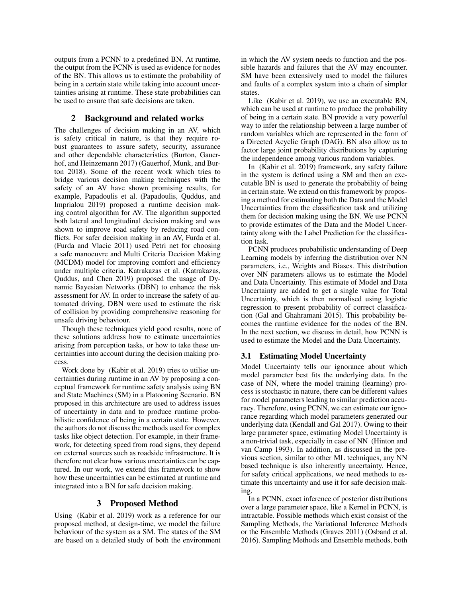outputs from a PCNN to a predefined BN. At runtime, the output from the PCNN is used as evidence for nodes of the BN. This allows us to estimate the probability of being in a certain state while taking into account uncertainties arising at runtime. These state probabilities can be used to ensure that safe decisions are taken.

## 2 Background and related works

The challenges of decision making in an AV, which is safety critical in nature, is that they require robust guarantees to assure safety, security, assurance and other dependable characteristics (Burton, Gauerhof, and Heinzemann 2017) (Gauerhof, Munk, and Burton 2018). Some of the recent work which tries to bridge various decision making techniques with the safety of an AV have shown promising results, for example, Papadoulis et al. (Papadoulis, Quddus, and Imprialou 2019) proposed a runtime decision making control algorithm for AV. The algorithm supported both lateral and longitudinal decision making and was shown to improve road safety by reducing road conflicts. For safer decision making in an AV, Furda et al. (Furda and Vlacic 2011) used Petri net for choosing a safe manoeuvre and Multi Criteria Decision Making (MCDM) model for improving comfort and efficiency under multiple criteria. Katrakazas et al. (Katrakazas, Quddus, and Chen 2019) proposed the usage of Dynamic Bayesian Networks (DBN) to enhance the risk assessment for AV. In order to increase the safety of automated driving, DBN were used to estimate the risk of collision by providing comprehensive reasoning for unsafe driving behaviour.

Though these techniques yield good results, none of these solutions address how to estimate uncertainties arising from perception tasks, or how to take these uncertainties into account during the decision making process.

Work done by (Kabir et al. 2019) tries to utilise uncertainties during runtime in an AV by proposing a conceptual framework for runtime safety analysis using BN and State Machines (SM) in a Platooning Scenario. BN proposed in this architecture are used to address issues of uncertainty in data and to produce runtime probabilistic confidence of being in a certain state. However, the authors do not discuss the methods used for complex tasks like object detection. For example, in their framework, for detecting speed from road signs, they depend on external sources such as roadside infrastructure. It is therefore not clear how various uncertainties can be captured. In our work, we extend this framework to show how these uncertainties can be estimated at runtime and integrated into a BN for safe decision making.

## 3 Proposed Method

Using (Kabir et al. 2019) work as a reference for our proposed method, at design-time, we model the failure behaviour of the system as a SM. The states of the SM are based on a detailed study of both the environment in which the AV system needs to function and the possible hazards and failures that the AV may encounter. SM have been extensively used to model the failures and faults of a complex system into a chain of simpler states.

Like (Kabir et al. 2019), we use an executable BN, which can be used at runtime to produce the probability of being in a certain state. BN provide a very powerful way to infer the relationship between a large number of random variables which are represented in the form of a Directed Acyclic Graph (DAG). BN also allow us to factor large joint probability distributions by capturing the independence among various random variables.

In (Kabir et al. 2019) framework, any safety failure in the system is defined using a SM and then an executable BN is used to generate the probability of being in certain state. We extend on this framework by proposing a method for estimating both the Data and the Model Uncertainties from the classification task and utilizing them for decision making using the BN. We use PCNN to provide estimates of the Data and the Model Uncertainty along with the Label Prediction for the classification task.

PCNN produces probabilistic understanding of Deep Learning models by inferring the distribution over NN parameters, i.e., Weights and Biases. This distribution over NN parameters allows us to estimate the Model and Data Uncertainty. This estimate of Model and Data Uncertainty are added to get a single value for Total Uncertainty, which is then normalised using logistic regression to present probability of correct classification (Gal and Ghahramani 2015). This probability becomes the runtime evidence for the nodes of the BN. In the next section, we discuss in detail, how PCNN is used to estimate the Model and the Data Uncertainty.

## 3.1 Estimating Model Uncertainty

Model Uncertainty tells our ignorance about which model parameter best fits the underlying data. In the case of NN, where the model training (learning) process is stochastic in nature, there can be different values for model parameters leading to similar prediction accuracy. Therefore, using PCNN, we can estimate our ignorance regarding which model parameters generated our underlying data (Kendall and Gal 2017). Owing to their large parameter space, estimating Model Uncertainty is a non-trivial task, especially in case of NN (Hinton and van Camp 1993). In addition, as discussed in the previous section, similar to other ML techniques, any NN based technique is also inherently uncertainty. Hence, for safety critical applications, we need methods to estimate this uncertainty and use it for safe decision making.

In a PCNN, exact inference of posterior distributions over a large parameter space, like a Kernel in PCNN, is intractable. Possible methods which exist consist of the Sampling Methods, the Variational Inference Methods or the Ensemble Methods (Graves 2011) (Osband et al. 2016). Sampling Methods and Ensemble methods, both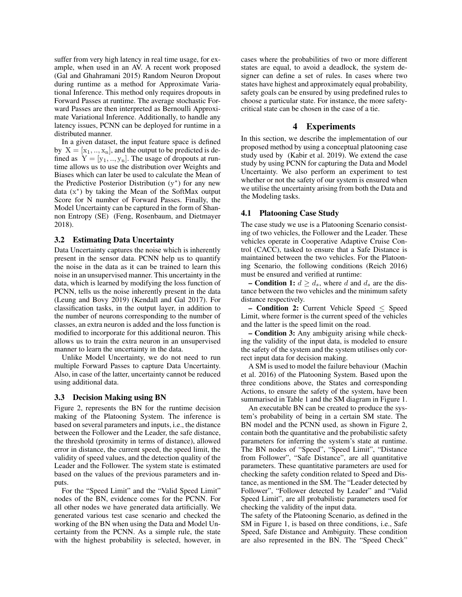suffer from very high latency in real time usage, for example, when used in an AV. A recent work proposed (Gal and Ghahramani 2015) Random Neuron Dropout during runtime as a method for Approximate Variational Inference. This method only requires dropouts in Forward Passes at runtime. The average stochastic Forward Passes are then interpreted as Bernoulli Approximate Variational Inference. Additionally, to handle any latency issues, PCNN can be deployed for runtime in a distributed manner.

In a given dataset, the input feature space is defined by  $X = [x_1, ..., x_n]$ , and the output to be predicted is defined as  $Y = [y_1, ..., y_n]$ . The usage of dropouts at runtime allows us to use the distribution over Weights and Biases which can later be used to calculate the Mean of the Predictive Posterior Distribution  $(y^*)$  for any new data (x ∗ ) by taking the Mean of the SoftMax output Score for N number of Forward Passes. Finally, the Model Uncertainty can be captured in the form of Shannon Entropy (SE) (Feng, Rosenbaum, and Dietmayer 2018).

#### 3.2 Estimating Data Uncertainty

Data Uncertainty captures the noise which is inherently present in the sensor data. PCNN help us to quantify the noise in the data as it can be trained to learn this noise in an unsupervised manner. This uncertainty in the data, which is learned by modifying the loss function of PCNN, tells us the noise inherently present in the data (Leung and Bovy 2019) (Kendall and Gal 2017). For classification tasks, in the output layer, in addition to the number of neurons corresponding to the number of classes, an extra neuron is added and the loss function is modified to incorporate for this additional neuron. This allows us to train the extra neuron in an unsupervised manner to learn the uncertainty in the data.

Unlike Model Uncertainty, we do not need to run multiple Forward Passes to capture Data Uncertainty. Also, in case of the latter, uncertainty cannot be reduced using additional data.

### 3.3 Decision Making using BN

Figure 2, represents the BN for the runtime decision making of the Platooning System. The inference is based on several parameters and inputs, i.e., the distance between the Follower and the Leader, the safe distance, the threshold (proximity in terms of distance), allowed error in distance, the current speed, the speed limit, the validity of speed values, and the detection quality of the Leader and the Follower. The system state is estimated based on the values of the previous parameters and inputs.

For the "Speed Limit" and the "Valid Speed Limit" nodes of the BN, evidence comes for the PCNN. For all other nodes we have generated data artificially. We generated various test case scenario and checked the working of the BN when using the Data and Model Uncertainty from the PCNN. As a simple rule, the state with the highest probability is selected, however, in cases where the probabilities of two or more different states are equal, to avoid a deadlock, the system designer can define a set of rules. In cases where two states have highest and approximately equal probability, safety goals can be ensured by using predefined rules to choose a particular state. For instance, the more safetycritical state can be chosen in the case of a tie.

### 4 Experiments

In this section, we describe the implementation of our proposed method by using a conceptual platooning case study used by (Kabir et al. 2019). We extend the case study by using PCNN for capturing the Data and Model Uncertainty. We also perform an experiment to test whether or not the safety of our system is ensured when we utilise the uncertainty arising from both the Data and the Modeling tasks.

## 4.1 Platooning Case Study

The case study we use is a Platooning Scenario consisting of two vehicles, the Follower and the Leader. These vehicles operate in Cooperative Adaptive Cruise Control (CACC), tasked to ensure that a Safe Distance is maintained between the two vehicles. For the Platooning Scenario, the following conditions (Reich 2016) must be ensured and verified at runtime:

– **Condition 1:**  $d \geq d_s$ , where d and  $d_s$  are the distance between the two vehicles and the minimum safety distance respectively.

– Condition 2: Current Vehicle Speed ≤ Speed Limit, where former is the current speed of the vehicles and the latter is the speed limit on the road.

– Condition 3: Any ambiguity arising while checking the validity of the input data, is modeled to ensure the safety of the system and the system utilises only correct input data for decision making.

A SM is used to model the failure behaviour (Machin et al. 2016) of the Platooning System. Based upon the three conditions above, the States and corresponding Actions, to ensure the safety of the system, have been summarised in Table 1 and the SM diagram in Figure 1.

An executable BN can be created to produce the system's probability of being in a certain SM state. The BN model and the PCNN used, as shown in Figure 2, contain both the quantitative and the probabilistic safety parameters for inferring the system's state at runtime. The BN nodes of "Speed", "Speed Limit", "Distance from Follower", "Safe Distance", are all quantitative parameters. These quantitative parameters are used for checking the safety condition related to Speed and Distance, as mentioned in the SM. The "Leader detected by Follower", "Follower detected by Leader" and "Valid Speed Limit", are all probabilistic parameters used for checking the validity of the input data.

The safety of the Platooning Scenario, as defined in the SM in Figure 1, is based on three conditions, i.e., Safe Speed, Safe Distance and Ambiguity. These condition are also represented in the BN. The "Speed Check"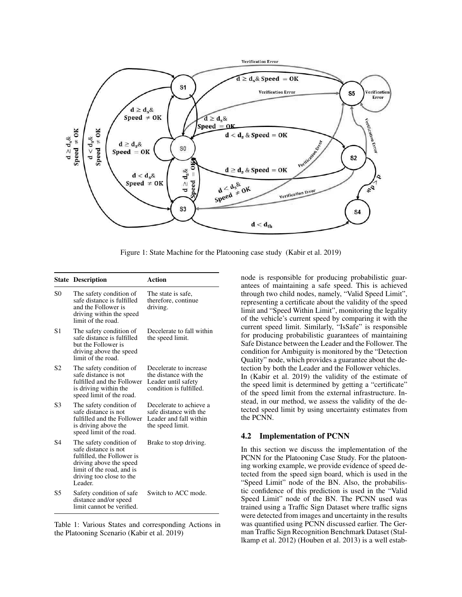

Figure 1: State Machine for the Platooning case study (Kabir et al. 2019)

|           | <b>State Description</b>                                                                                                                                                     | Action                                                                                            |
|-----------|------------------------------------------------------------------------------------------------------------------------------------------------------------------------------|---------------------------------------------------------------------------------------------------|
| S0        | The safety condition of<br>safe distance is fulfilled<br>and the Follower is<br>driving within the speed<br>limit of the road.                                               | The state is safe,<br>therefore, continue<br>driving.                                             |
| S1        | The safety condition of<br>safe distance is fulfilled<br>but the Follower is<br>driving above the speed<br>limit of the road.                                                | Decelerate to fall within<br>the speed limit.                                                     |
| S2        | The safety condition of<br>safe distance is not<br>fulfilled and the Follower<br>is driving within the<br>speed limit of the road.                                           | Decelerate to increase<br>the distance with the<br>Leader until safety<br>condition is fulfilled. |
| S3        | The safety condition of<br>safe distance is not<br>fulfilled and the Follower<br>is driving above the<br>speed limit of the road.                                            | Decelerate to achieve a<br>safe distance with the<br>Leader and fall within<br>the speed limit.   |
| <b>S4</b> | The safety condition of<br>safe distance is not<br>fulfilled, the Follower is<br>driving above the speed<br>limit of the road, and is<br>driving too close to the<br>Leader. | Brake to stop driving.                                                                            |
| S5        | Safety condition of safe<br>distance and/or speed<br>limit cannot be verified.                                                                                               | Switch to ACC mode.                                                                               |

Table 1: Various States and corresponding Actions in the Platooning Scenario (Kabir et al. 2019)

node is responsible for producing probabilistic guarantees of maintaining a safe speed. This is achieved through two child nodes, namely, "Valid Speed Limit", representing a certificate about the validity of the speed limit and "Speed Within Limit", monitoring the legality of the vehicle's current speed by comparing it with the current speed limit. Similarly, "IsSafe" is responsible for producing probabilistic guarantees of maintaining Safe Distance between the Leader and the Follower. The condition for Ambiguity is monitored by the "Detection Quality" node, which provides a guarantee about the detection by both the Leader and the Follower vehicles. In (Kabir et al. 2019) the validity of the estimate of the speed limit is determined by getting a "certificate" of the speed limit from the external infrastructure. Instead, in our method, we assess the validity of the detected speed limit by using uncertainty estimates from the PCNN.

### 4.2 Implementation of PCNN

In this section we discuss the implementation of the PCNN for the Platooning Case Study. For the platooning working example, we provide evidence of speed detected from the speed sign board, which is used in the "Speed Limit" node of the BN. Also, the probabilistic confidence of this prediction is used in the "Valid Speed Limit" node of the BN. The PCNN used was trained using a Traffic Sign Dataset where traffic signs were detected from images and uncertainty in the results was quantified using PCNN discussed earlier. The German Traffic Sign Recognition Benchmark Dataset (Stallkamp et al. 2012) (Houben et al. 2013) is a well estab-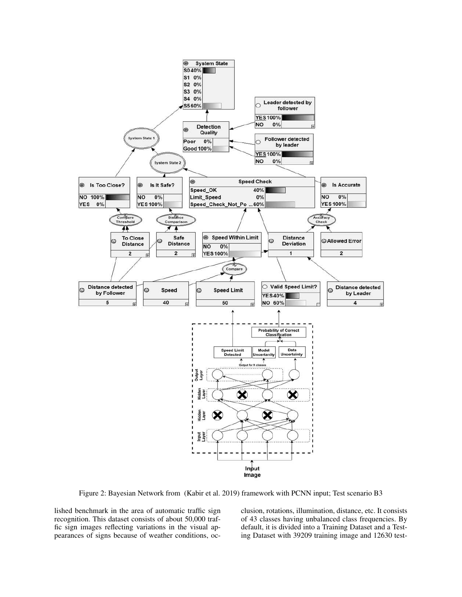

Figure 2: Bayesian Network from (Kabir et al. 2019) framework with PCNN input; Test scenario B3

lished benchmark in the area of automatic traffic sign recognition. This dataset consists of about 50,000 traffic sign images reflecting variations in the visual appearances of signs because of weather conditions, occlusion, rotations, illumination, distance, etc. It consists of 43 classes having unbalanced class frequencies. By default, it is divided into a Training Dataset and a Testing Dataset with 39209 training image and 12630 test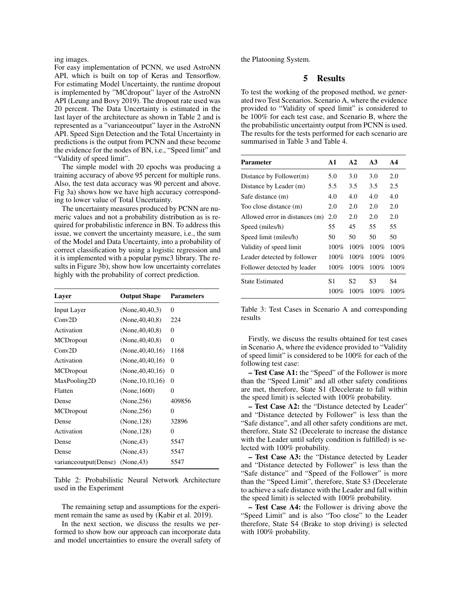ing images.

For easy implementation of PCNN, we used AstroNN API, which is built on top of Keras and Tensorflow. For estimating Model Uncertainty, the runtime dropout is implemented by "MCdropout" layer of the AstroNN API (Leung and Bovy 2019). The dropout rate used was 20 percent. The Data Uncertainty is estimated in the last layer of the architecture as shown in Table 2 and is represented as a "varianceoutput" layer in the AstroNN API. Speed Sign Detection and the Total Uncertainty in predictions is the output from PCNN and these become the evidence for the nodes of BN, i.e., "Speed limit" and "Validity of speed limit".

The simple model with 20 epochs was producing a training accuracy of above 95 percent for multiple runs. Also, the test data accuracy was 90 percent and above. Fig 3a) shows how we have high accuracy corresponding to lower value of Total Uncertainty.

The uncertainty measures produced by PCNN are numeric values and not a probability distribution as is required for probabilistic inference in BN. To address this issue, we convert the uncertainty measure, i.e., the sum of the Model and Data Uncertainty, into a probability of correct classification by using a logistic regression and it is implemented with a popular pymc3 library. The results in Figure 3b), show how low uncertainty correlates highly with the probability of correct prediction.

| Layer                   | <b>Output Shape</b>  | <b>Parameters</b> |  |
|-------------------------|----------------------|-------------------|--|
| <b>Input Layer</b>      | (None, 40, 40, 3)    | $\Omega$          |  |
| Conv2D                  | (None, $40, 40, 8$ ) | 224               |  |
| Activation              | (None, 40, 40, 8)    | 0                 |  |
| MCDropout               | (None, 40, 40, 8)    | 0                 |  |
| Conv2D                  | (None, 40, 40, 16)   | 1168              |  |
| Activation              | (None, 40, 40, 16)   | $\overline{0}$    |  |
| MCDropout               | (None, 40, 40, 16)   | $\overline{0}$    |  |
| MaxPooling2D            | (None, 10, 10, 16)   | 0                 |  |
| Flatten                 | (None, $1600$ )      | $\Omega$          |  |
| Dense                   | (None, 256)          | 409856            |  |
| MCDropout               | (None, 256)          | $\overline{0}$    |  |
| Dense                   | (None, 128)          | 32896             |  |
| Activation              | (None, 128)          | $\Omega$          |  |
| Dense                   | (None, 43)           | 5547              |  |
| Dense                   | (None, 43)           | 5547              |  |
| variance output (Dense) | (None, 43)           | 5547              |  |

Table 2: Probabilistic Neural Network Architecture used in the Experiment

The remaining setup and assumptions for the experiment remain the same as used by (Kabir et al. 2019).

In the next section, we discuss the results we performed to show how our approach can incorporate data and model uncertainties to ensure the overall safety of the Platooning System.

## 5 Results

To test the working of the proposed method, we generated two Test Scenarios. Scenario A, where the evidence provided to "Validity of speed limit" is considered to be 100% for each test case, and Scenario B, where the the probabilistic uncertainty output from PCNN is used. The results for the tests performed for each scenario are summarised in Table 3 and Table 4.

| <b>Parameter</b>               | A1      | A2      | A <sub>3</sub> | AA      |
|--------------------------------|---------|---------|----------------|---------|
| Distance by Follower(m)        | 5.0     | 3.0     | 3.0            | 2.0     |
| Distance by Leader (m)         | 5.5     | 3.5     | 3.5            | 2.5     |
| Safe distance (m)              | 4.0     | 4.0     | 4.0            | 4.0     |
| Too close distance (m)         | 2.0     | 2.0     | 2.0            | 2.0     |
| Allowed error in distances (m) | 2.0     | 2.0     | 2.0            | 2.0     |
| Speed (miles/h)                | 55      | 45      | 55             | 55      |
| Speed limit (miles/h)          | 50      | 50      | 50             | 50      |
| Validity of speed limit        | 100%    | 100%    | 100%           | 100%    |
| Leader detected by follower    | $100\%$ | 100%    | 100%           | 100%    |
| Follower detected by leader    | $100\%$ | $100\%$ | $100\%$        | 100%    |
| <b>State Estimated</b>         | S1      | S2      | S3             | S4      |
|                                | 100%    | $100\%$ | 100%           | $100\%$ |

Table 3: Test Cases in Scenario A and corresponding results

Firstly, we discuss the results obtained for test cases in Scenario A, where the evidence provided to "Validity of speed limit" is considered to be 100% for each of the following test case:

– Test Case A1: the "Speed" of the Follower is more than the "Speed Limit" and all other safety conditions are met, therefore, State S1 (Decelerate to fall within the speed limit) is selected with 100% probability.

– Test Case A2: the "Distance detected by Leader" and "Distance detected by Follower" is less than the "Safe distance", and all other safety conditions are met, therefore, State S2 (Decelerate to increase the distance with the Leader until safety condition is fulfilled) is selected with 100% probability.

– Test Case A3: the "Distance detected by Leader and "Distance detected by Follower" is less than the "Safe distance" and "Speed of the Follower" is more than the "Speed Limit", therefore, State S3 (Decelerate to achieve a safe distance with the Leader and fall within the speed limit) is selected with 100% probability.

– Test Case A4: the Follower is driving above the "Speed Limit" and is also "Too close" to the Leader therefore, State S4 (Brake to stop driving) is selected with 100% probability.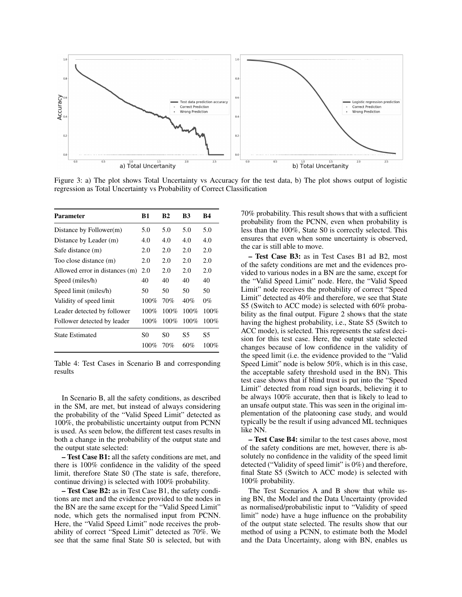

Figure 3: a) The plot shows Total Uncertainty vs Accuracy for the test data, b) The plot shows output of logistic regression as Total Uncertainty vs Probability of Correct Classification

| <b>Parameter</b>               | B1      | <b>B2</b> | B3   | <b>B4</b> |
|--------------------------------|---------|-----------|------|-----------|
| Distance by Follower(m)        | 5.0     | 5.0       | 5.0  | 5.0       |
| Distance by Leader (m)         | 4.0     | 4.0       | 4.0  | 4.0       |
| Safe distance (m)              | 2.0     | 2.0       | 2.0  | 2.0       |
| Too close distance (m)         | 2.0     | 2.0       | 2.0  | 2.0       |
| Allowed error in distances (m) | 2.0     | 2.0       | 2.0  | 2.0       |
| Speed (miles/h)                | 40      | 40        | 40   | 40        |
| Speed limit (miles/h)          | 50      | 50        | 50   | 50        |
| Validity of speed limit        | $100\%$ | 70%       | 40%  | $0\%$     |
| Leader detected by follower    | $100\%$ | 100%      | 100% | $100\%$   |
| Follower detected by leader    | $100\%$ | $100\%$   | 100% | $100\%$   |
| <b>State Estimated</b>         | S0      | S0        | S5   | S5        |
|                                | $100\%$ | 70%       | 60%  | $100\%$   |

Table 4: Test Cases in Scenario B and corresponding results

In Scenario B, all the safety conditions, as described in the SM, are met, but instead of always considering the probability of the "Valid Speed Limit" detected as 100%, the probabilistic uncertainty output from PCNN is used. As seen below, the different test cases results in both a change in the probability of the output state and the output state selected:

– Test Case B1: all the safety conditions are met, and there is 100% confidence in the validity of the speed limit, therefore State S0 (The state is safe, therefore, continue driving) is selected with 100% probability.

– Test Case B2: as in Test Case B1, the safety conditions are met and the evidence provided to the nodes in the BN are the same except for the "Valid Speed Limit" node, which gets the normalised input from PCNN. Here, the "Valid Speed Limit" node receives the probability of correct "Speed Limit" detected as 70%. We see that the same final State S0 is selected, but with

70% probability. This result shows that with a sufficient probability from the PCNN, even when probability is less than the 100%, State S0 is correctly selected. This ensures that even when some uncertainty is observed, the car is still able to move.

– Test Case B3: as in Test Cases B1 ad B2, most of the safety conditions are met and the evidences provided to various nodes in a BN are the same, except for the "Valid Speed Limit" node. Here, the "Valid Speed Limit" node receives the probability of correct "Speed Limit" detected as 40% and therefore, we see that State S5 (Switch to ACC mode) is selected with 60% probability as the final output. Figure 2 shows that the state having the highest probability, i.e., State S5 (Switch to ACC mode), is selected. This represents the safest decision for this test case. Here, the output state selected changes because of low confidence in the validity of the speed limit (i.e. the evidence provided to the "Valid Speed Limit" node is below 50%, which is in this case, the acceptable safety threshold used in the BN). This test case shows that if blind trust is put into the "Speed Limit" detected from road sign boards, believing it to be always 100% accurate, then that is likely to lead to an unsafe output state. This was seen in the original implementation of the platooning case study, and would typically be the result if using advanced ML techniques like NN.

– Test Case B4: similar to the test cases above, most of the safety conditions are met, however, there is absolutely no confidence in the validity of the speed limit detected ("Validity of speed limit" is 0%) and therefore, final State S5 (Switch to ACC mode) is selected with 100% probability.

The Test Scenarios A and B show that while using BN, the Model and the Data Uncertainty (provided as normalised/probabilistic input to "Validity of speed limit" node) have a huge influence on the probability of the output state selected. The results show that our method of using a PCNN, to estimate both the Model and the Data Uncertainty, along with BN, enables us